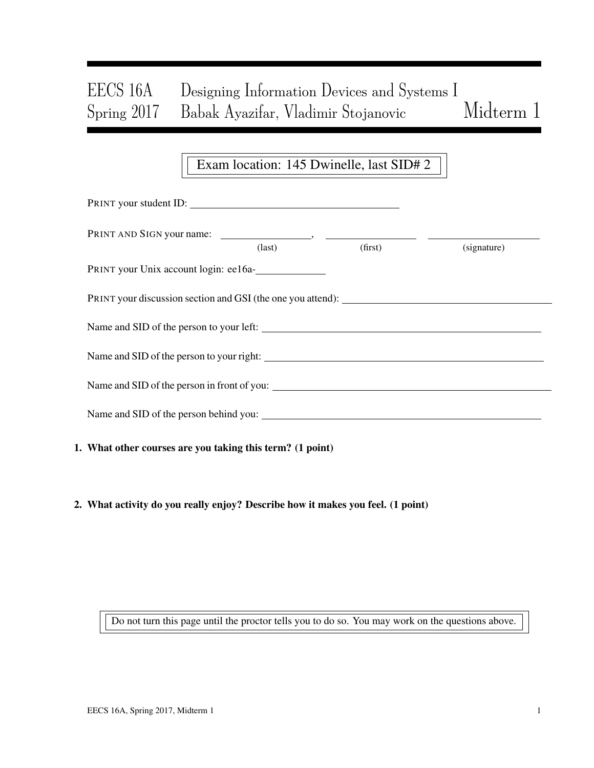# EECS 16A Designing Information Devices and Systems I Spring 2017 Babak Ayazifar, Vladimir Stojanovic Midterm 1

## Exam location: 145 Dwinelle, last SID# 2

| PRINT your student ID:                                    |                 |         |             |
|-----------------------------------------------------------|-----------------|---------|-------------|
|                                                           | $\text{(last)}$ | (first) | (signature) |
| PRINT your Unix account login: ee16a-                     |                 |         |             |
|                                                           |                 |         |             |
|                                                           |                 |         |             |
|                                                           |                 |         |             |
|                                                           |                 |         |             |
|                                                           |                 |         |             |
| 1. What other courses are you taking this term? (1 point) |                 |         |             |

2. What activity do you really enjoy? Describe how it makes you feel. (1 point)

Do not turn this page until the proctor tells you to do so. You may work on the questions above.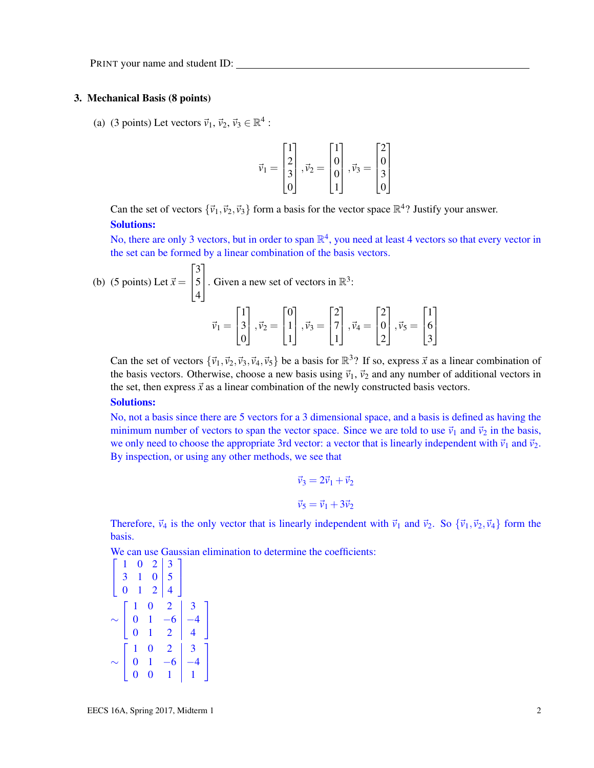#### 3. Mechanical Basis (8 points)

(a) (3 points) Let vectors  $\vec{v}_1$ ,  $\vec{v}_2$ ,  $\vec{v}_3 \in \mathbb{R}^4$ :

$$
\vec{\nu}_1 = \begin{bmatrix} 1 \\ 2 \\ 3 \\ 0 \end{bmatrix}, \vec{\nu}_2 = \begin{bmatrix} 1 \\ 0 \\ 0 \\ 1 \end{bmatrix}, \vec{\nu}_3 = \begin{bmatrix} 2 \\ 0 \\ 3 \\ 0 \end{bmatrix}
$$

Can the set of vectors  $\{\vec{v}_1, \vec{v}_2, \vec{v}_3\}$  form a basis for the vector space  $\mathbb{R}^4$ ? Justify your answer. Solutions:

No, there are only 3 vectors, but in order to span  $\mathbb{R}^4$ , you need at least 4 vectors so that every vector in the set can be formed by a linear combination of the basis vectors.

(b) (5 points) Let 
$$
\vec{x} = \begin{bmatrix} 3 \\ 5 \\ 4 \end{bmatrix}
$$
. Given a new set of vectors in  $\mathbb{R}^3$ :  

$$
\vec{v}_1 = \begin{bmatrix} 1 \\ 3 \\ 0 \end{bmatrix}, \vec{v}_2 = \begin{bmatrix} 0 \\ 1 \\ 1 \end{bmatrix}, \vec{v}_3 = \begin{bmatrix} 2 \\ 7 \\ 1 \end{bmatrix}, \vec{v}_4 = \begin{bmatrix} 2 \\ 0 \\ 2 \end{bmatrix}, \vec{v}_5 = \begin{bmatrix} 1 \\ 6 \\ 3 \end{bmatrix}
$$

Can the set of vectors  $\{\vec{v}_1, \vec{v}_2, \vec{v}_3, \vec{v}_4, \vec{v}_5\}$  be a basis for  $\mathbb{R}^3$ ? If so, express  $\vec{x}$  as a linear combination of the basis vectors. Otherwise, choose a new basis using  $\vec{v}_1$ ,  $\vec{v}_2$  and any number of additional vectors in the set, then express  $\vec{x}$  as a linear combination of the newly constructed basis vectors.

#### Solutions:

No, not a basis since there are 5 vectors for a 3 dimensional space, and a basis is defined as having the minimum number of vectors to span the vector space. Since we are told to use  $\vec{v}_1$  and  $\vec{v}_2$  in the basis, we only need to choose the appropriate 3rd vector: a vector that is linearly independent with  $\vec{v}_1$  and  $\vec{v}_2$ . By inspection, or using any other methods, we see that

$$
\vec{v}_3 = 2\vec{v}_1 + \vec{v}_2
$$
  

$$
\vec{v}_5 = \vec{v}_1 + 3\vec{v}_2
$$

Therefore,  $\vec{v}_4$  is the only vector that is linearly independent with  $\vec{v}_1$  and  $\vec{v}_2$ . So  $\{\vec{v}_1, \vec{v}_2, \vec{v}_4\}$  form the basis.

We can use Gaussian elimination to determine the coefficients:

|                                       | $\boldsymbol{0}$ |                                        |                         |  |
|---------------------------------------|------------------|----------------------------------------|-------------------------|--|
| $\begin{array}{c} 3 \\ 0 \end{array}$ | $\mathbf{1}$     | $\begin{bmatrix} 2 \\ 0 \end{bmatrix}$ | $\frac{5}{5}$           |  |
|                                       | $\mathbf{1}$     | $\overline{2}$                         |                         |  |
|                                       |                  | $\bf{0}$                               | 2                       |  |
|                                       | $\mathbf{0}$     |                                        | $-6$                    |  |
|                                       | $\overline{0}$   |                                        | $\overline{\mathbf{2}}$ |  |
|                                       |                  | $\overline{0}$                         | 2                       |  |
|                                       | $\pmb{0}$        |                                        |                         |  |
|                                       |                  | 0                                      |                         |  |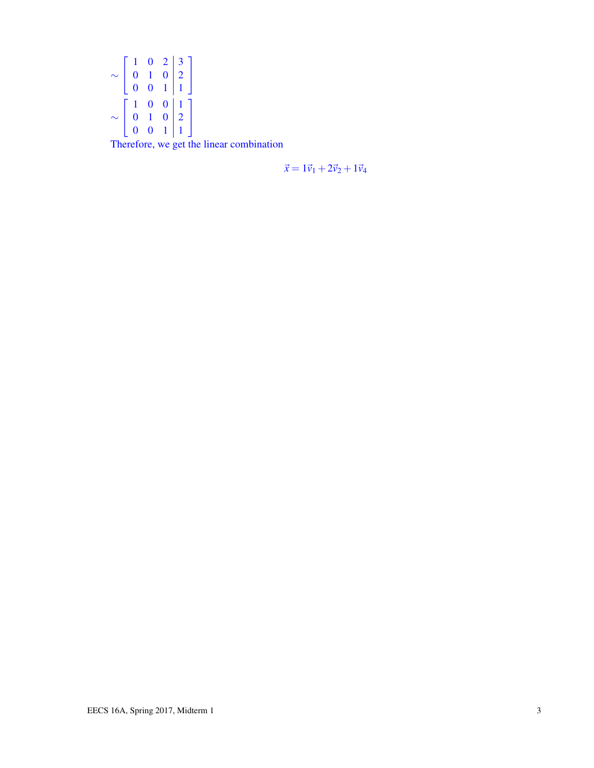$$
\sim \begin{bmatrix} 1 & 0 & 2 & 3 \\ 0 & 1 & 0 & 2 \\ 0 & 0 & 1 & 1 \end{bmatrix}
$$

$$
\sim \begin{bmatrix} 1 & 0 & 0 & 1 \\ 0 & 1 & 0 & 2 \\ 0 & 0 & 1 & 1 \end{bmatrix}
$$

Therefore, we get the linear combination

 $\vec{x} = 1\vec{v}_1 + 2\vec{v}_2 + 1\vec{v}_4$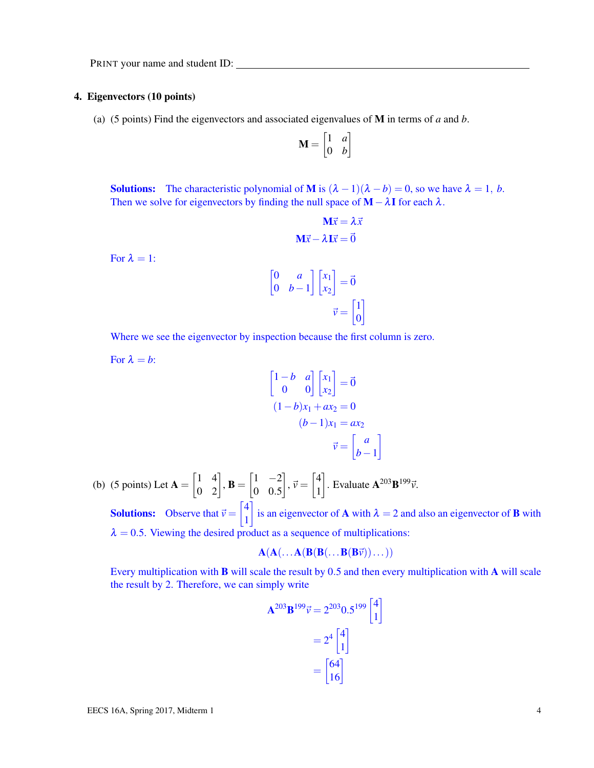#### 4. Eigenvectors (10 points)

(a) (5 points) Find the eigenvectors and associated eigenvalues of M in terms of *a* and *b*.

$$
\mathbf{M} = \begin{bmatrix} 1 & a \\ 0 & b \end{bmatrix}
$$

**Solutions:** The characteristic polynomial of **M** is  $(\lambda - 1)(\lambda - b) = 0$ , so we have  $\lambda = 1$ , *b*. Then we solve for eigenvectors by finding the null space of  $M - \lambda I$  for each  $\lambda$ .

$$
\mathbf{M}\vec{x} = \lambda \vec{x}
$$

$$
\mathbf{M}\vec{x} - \lambda \mathbf{I}\vec{x} = \vec{0}
$$

For  $\lambda = 1$ :

$$
\begin{bmatrix} 0 & a \\ 0 & b-1 \end{bmatrix} \begin{bmatrix} x_1 \\ x_2 \end{bmatrix} = \vec{0}
$$

$$
\vec{v} = \begin{bmatrix} 1 \\ 0 \end{bmatrix}
$$

Where we see the eigenvector by inspection because the first column is zero.

For  $\lambda = b$ :

$$
\begin{bmatrix} 1-b & a \\ 0 & 0 \end{bmatrix} \begin{bmatrix} x_1 \\ x_2 \end{bmatrix} = \vec{0}
$$

$$
(1-b)x_1 + ax_2 = 0
$$

$$
(b-1)x_1 = ax_2
$$

$$
\vec{v} = \begin{bmatrix} a \\ b-1 \end{bmatrix}
$$

1

(b) (5 points) Let  $A = \begin{bmatrix} 1 & 4 \\ 0 & 2 \end{bmatrix}$ ,  $B = \begin{bmatrix} 1 & -2 \\ 0 & 0.5 \end{bmatrix}$ 0 0.5  $\left.\begin{matrix} \frac{1}{v} & \frac{1}{v} \\ \frac{1}{v} & \frac{1}{v} \end{matrix}\right|$ 1  $\Big]$ . Evaluate  $\mathbf{A}^{203} \mathbf{B}^{199} \vec{v}$ . **Solutions:** Observe that  $\vec{v} = \begin{bmatrix} 4 \\ 1 \end{bmatrix}$ 1 is an eigenvector of **A** with  $\lambda = 2$  and also an eigenvector of **B** with  $\lambda = 0.5$ . Viewing the desired product as a sequence of multiplications:

$$
A(A(\ldots A(B(B(\ldots B(B\vec{v}))\ldots)))
$$

Every multiplication with B will scale the result by 0.5 and then every multiplication with A will scale the result by 2. Therefore, we can simply write

$$
\mathbf{A}^{203} \mathbf{B}^{199} \vec{v} = 2^{203} 0.5^{199} \begin{bmatrix} 4 \\ 1 \end{bmatrix}
$$

$$
= 2^4 \begin{bmatrix} 4 \\ 1 \end{bmatrix}
$$

$$
= \begin{bmatrix} 64 \\ 16 \end{bmatrix}
$$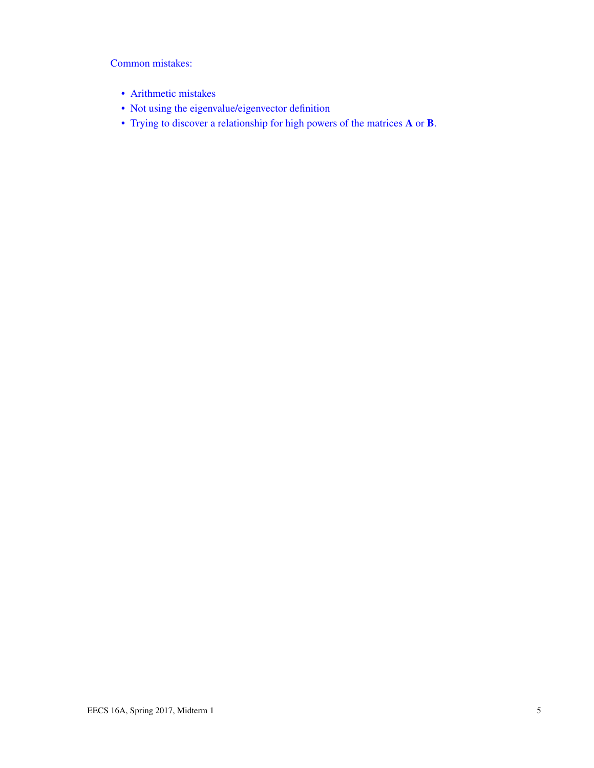Common mistakes:

- Arithmetic mistakes
- Not using the eigenvalue/eigenvector definition
- Trying to discover a relationship for high powers of the matrices A or B.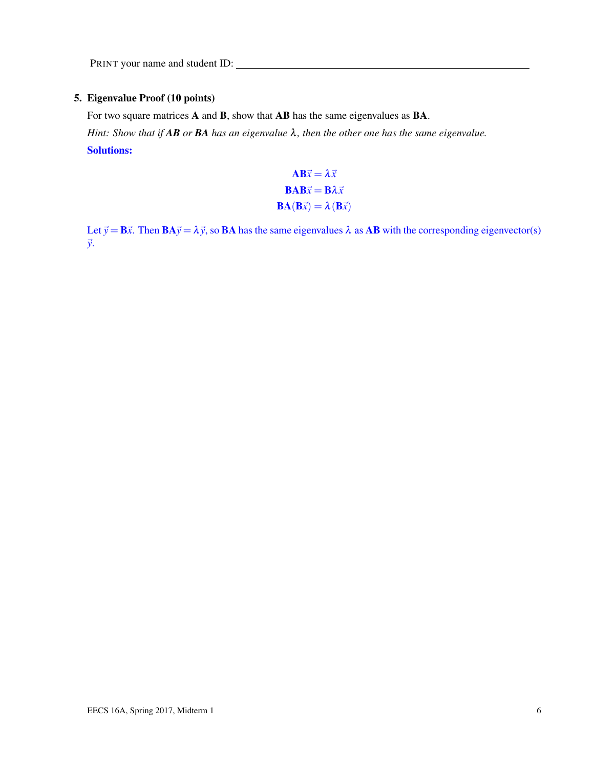### 5. Eigenvalue Proof (10 points)

For two square matrices A and B, show that AB has the same eigenvalues as BA.

*Hint: Show that if AB or BA has an eigenvalue* λ*, then the other one has the same eigenvalue.* Solutions:

> $AB\vec{x} = \lambda \vec{x}$  $\mathbf{BAB}\vec{x} = \mathbf{B}\lambda \vec{x}$  $\mathbf{BA}(\mathbf{B}\vec{x}) = \lambda(\mathbf{B}\vec{x})$

Let  $\vec{y} = B\vec{x}$ . Then  $BA\vec{y} = \lambda \vec{y}$ , so BA has the same eigenvalues  $\lambda$  as AB with the corresponding eigenvector(s) ~*y*.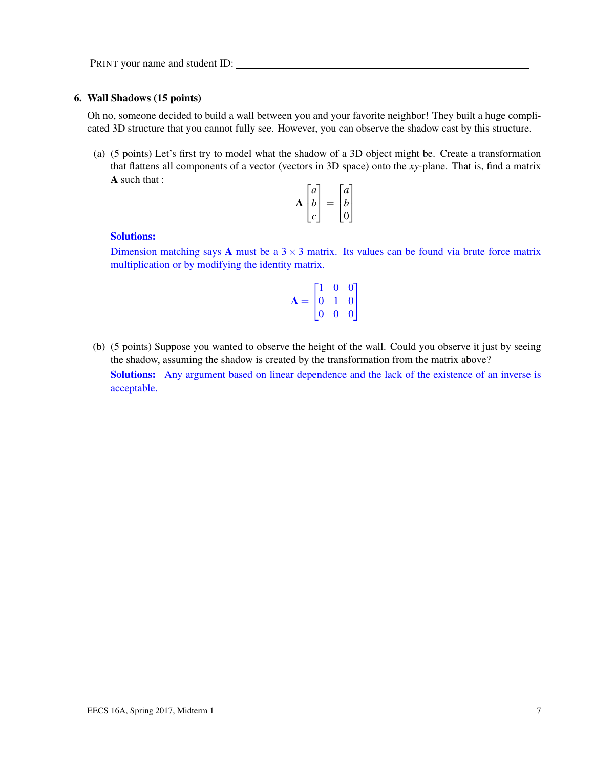#### 6. Wall Shadows (15 points)

Oh no, someone decided to build a wall between you and your favorite neighbor! They built a huge complicated 3D structure that you cannot fully see. However, you can observe the shadow cast by this structure.

(a) (5 points) Let's first try to model what the shadow of a 3D object might be. Create a transformation that flattens all components of a vector (vectors in 3D space) onto the *xy*-plane. That is, find a matrix A such that :

| a | a |  |
|---|---|--|
| h | b |  |
|   |   |  |

#### Solutions:

Dimension matching says **A** must be a  $3 \times 3$  matrix. Its values can be found via brute force matrix multiplication or by modifying the identity matrix.

|       |                | $\mathbf{0}$   |                                             |
|-------|----------------|----------------|---------------------------------------------|
| $A =$ | $\overline{0}$ |                | $\begin{bmatrix} 0 \\ 0 \\ 0 \end{bmatrix}$ |
|       | $\overline{0}$ | $\overline{0}$ |                                             |

(b) (5 points) Suppose you wanted to observe the height of the wall. Could you observe it just by seeing the shadow, assuming the shadow is created by the transformation from the matrix above?

Solutions: Any argument based on linear dependence and the lack of the existence of an inverse is acceptable.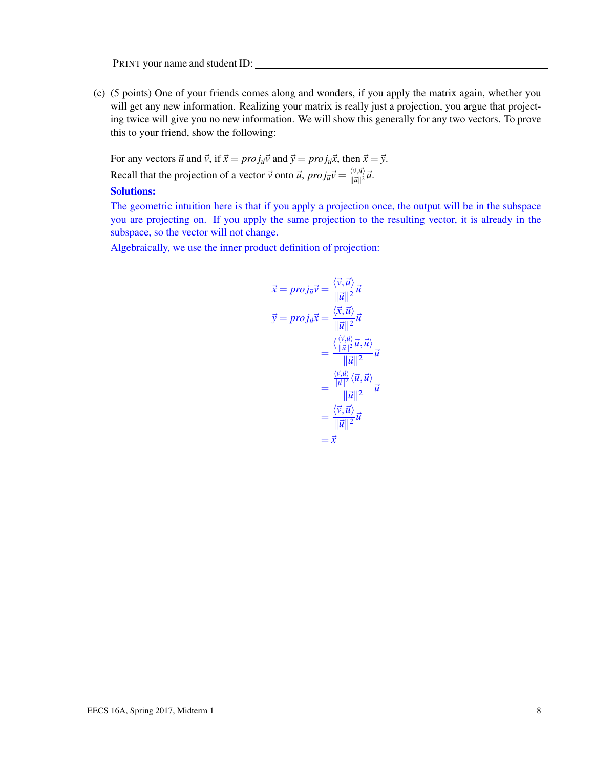(c) (5 points) One of your friends comes along and wonders, if you apply the matrix again, whether you will get any new information. Realizing your matrix is really just a projection, you argue that projecting twice will give you no new information. We will show this generally for any two vectors. To prove this to your friend, show the following:

For any vectors  $\vec{u}$  and  $\vec{v}$ , if  $\vec{x} = proj_{\vec{u}}\vec{v}$  and  $\vec{y} = proj_{\vec{u}}\vec{x}$ , then  $\vec{x} = \vec{y}$ . Recall that the projection of a vector  $\vec{v}$  onto  $\vec{u}$ ,  $proj_{\vec{u}}\vec{v} = \frac{\langle \vec{v}, \vec{u} \rangle}{\|\vec{u}\|^2}$  $\frac{\langle V, \mathcal{U} \rangle}{\|\vec{\mathcal{U}}\|^2} \vec{\mathcal{U}}.$ 

#### Solutions:

The geometric intuition here is that if you apply a projection once, the output will be in the subspace you are projecting on. If you apply the same projection to the resulting vector, it is already in the subspace, so the vector will not change.

Algebraically, we use the inner product definition of projection:

$$
\vec{x} = \overrightarrow{proj}_{\vec{u}} \vec{v} = \frac{\langle \vec{v}, \vec{u} \rangle}{\|\vec{u}\|^2} \vec{u}
$$
\n
$$
\vec{y} = \overrightarrow{proj}_{\vec{u}} \vec{x} = \frac{\langle \vec{x}, \vec{u} \rangle}{\|\vec{u}\|^2} \vec{u}
$$
\n
$$
= \frac{\langle \frac{\langle \vec{v}, \vec{u} \rangle}{\|\vec{u}\|^2} \vec{u}, \vec{u} \rangle}{\|\vec{u}\|^2} \vec{u}
$$
\n
$$
= \frac{\langle \vec{v}, \vec{u} \rangle}{\|\vec{u}\|^2} \langle \vec{u}, \vec{u} \rangle}{\|\vec{u}\|^2} \vec{u}
$$
\n
$$
= \frac{\langle \vec{v}, \vec{u} \rangle}{\|\vec{u}\|^2} \vec{u}
$$
\n
$$
= \vec{x}
$$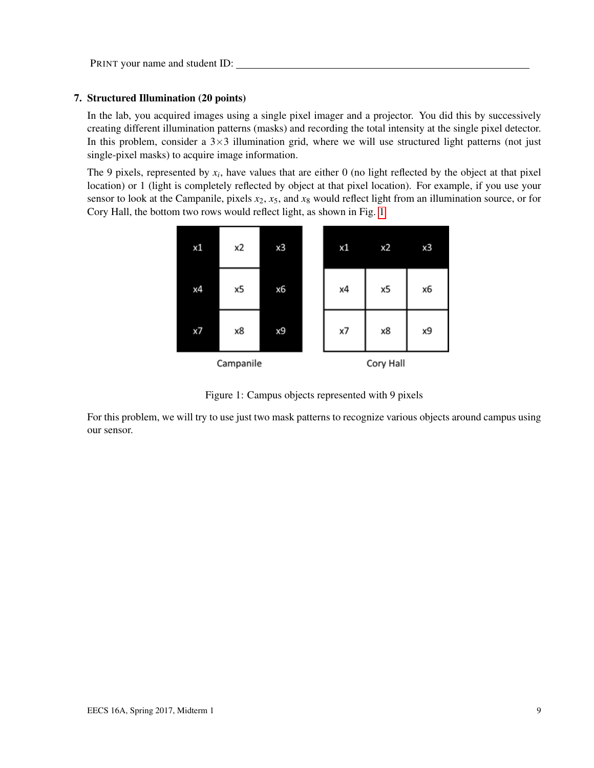#### 7. Structured Illumination (20 points)

In the lab, you acquired images using a single pixel imager and a projector. You did this by successively creating different illumination patterns (masks) and recording the total intensity at the single pixel detector. In this problem, consider a  $3\times3$  illumination grid, where we will use structured light patterns (not just single-pixel masks) to acquire image information.

The 9 pixels, represented by  $x_i$ , have values that are either 0 (no light reflected by the object at that pixel location) or 1 (light is completely reflected by object at that pixel location). For example, if you use your sensor to look at the Campanile, pixels  $x_2$ ,  $x_5$ , and  $x_8$  would reflect light from an illumination source, or for Cory Hall, the bottom two rows would reflect light, as shown in Fig. [1](#page-8-0)



<span id="page-8-0"></span>Figure 1: Campus objects represented with 9 pixels

For this problem, we will try to use just two mask patterns to recognize various objects around campus using our sensor.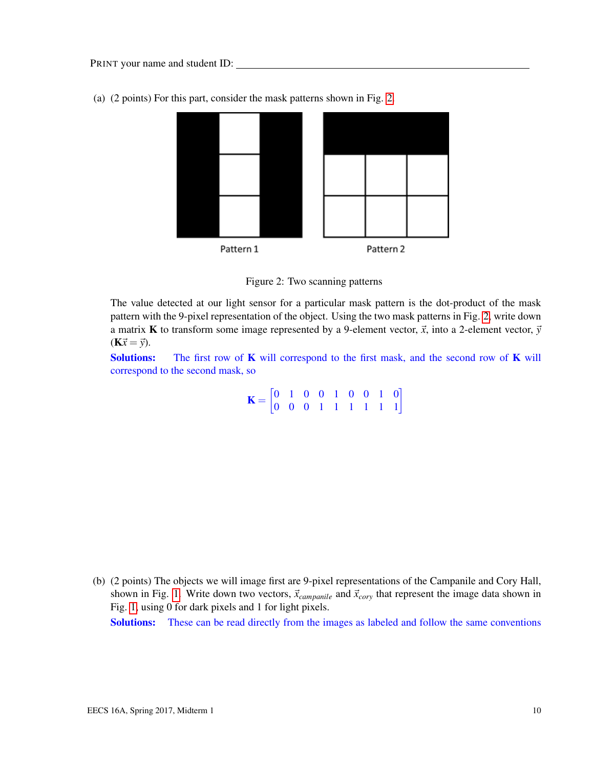

(a) (2 points) For this part, consider the mask patterns shown in Fig. [2.](#page-9-0)

<span id="page-9-0"></span>

The value detected at our light sensor for a particular mask pattern is the dot-product of the mask pattern with the 9-pixel representation of the object. Using the two mask patterns in Fig. [2,](#page-9-0) write down a matrix **K** to transform some image represented by a 9-element vector,  $\vec{x}$ , into a 2-element vector,  $\vec{y}$  $(K\vec{x} = \vec{y}).$ 

**Solutions:** The first row of  $\bf{K}$  will correspond to the first mask, and the second row of  $\bf{K}$  will correspond to the second mask, so

 $\mathbf{K} = \begin{bmatrix} 0 & 1 & 0 & 0 & 1 & 0 & 0 & 1 & 0 \\ 0 & 0 & 0 & 1 & 1 & 1 & 1 & 1 & 1 \end{bmatrix}$ 

(b) (2 points) The objects we will image first are 9-pixel representations of the Campanile and Cory Hall, shown in Fig. [1.](#page-8-0) Write down two vectors,  $\vec{x}_{campanile}$  and  $\vec{x}_{cory}$  that represent the image data shown in Fig. [1,](#page-8-0) using 0 for dark pixels and 1 for light pixels.

Solutions: These can be read directly from the images as labeled and follow the same conventions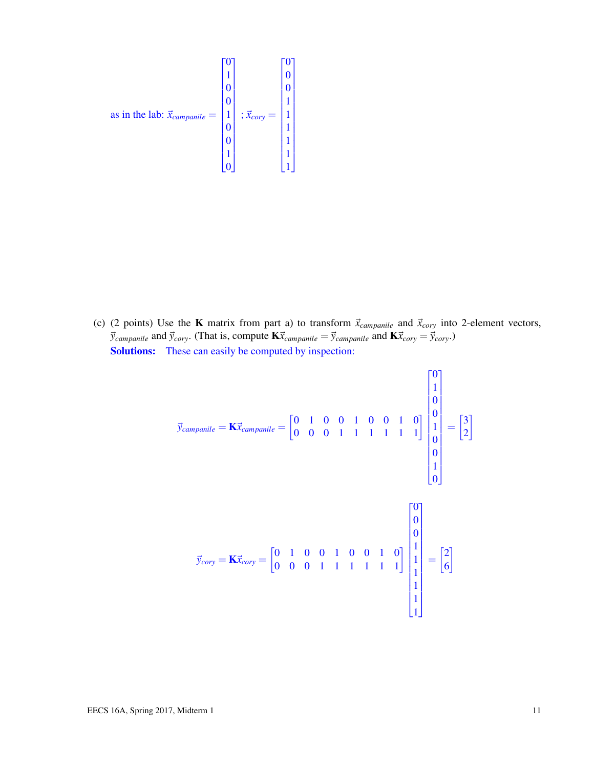as in the lab: 
$$
\vec{x}_{campanile} = \begin{bmatrix} 0 \\ 1 \\ 0 \\ 0 \\ 1 \\ 0 \\ 0 \\ 1 \\ 0 \end{bmatrix}
$$
;  $\vec{x}_{cory} = \begin{bmatrix} 0 \\ 0 \\ 1 \\ 1 \\ 1 \\ 1 \\ 1 \\ 1 \\ 1 \\ 1 \end{bmatrix}$ 

(c) (2 points) Use the **K** matrix from part a) to transform  $\vec{x}_{campanile}$  and  $\vec{x}_{cory}$  into 2-element vectors,  $\vec{y}_{\text{campanip}}$  and  $\vec{y}_{\text{cory}}$ . (That is, compute  $K\vec{x}_{\text{campanip}} = \vec{y}_{\text{campanip}}$  and  $K\vec{x}_{\text{cory}} = \vec{y}_{\text{cory}}$ .) Solutions: These can easily be computed by inspection:

$$
\vec{y}_{campanile} = \mathbf{K} \vec{x}_{campanile} = \begin{bmatrix} 0 & 1 & 0 & 0 & 1 & 0 & 0 & 1 & 0 \ 0 & 0 & 0 & 1 & 1 & 1 & 1 & 1 & 1 \ 0 & 0 & 0 & 0 & 1 & 0 & 0 \ 0 & 0 & 0 & 0 & 1 & 0 & 0 & 0 \ 0 & 0 & 0 & 0 & 1 & 1 & 1 & 1 & 1 \ \end{bmatrix} \begin{bmatrix} 0 \\ 0 \\ 1 \\ 0 \\ 0 \\ 1 \\ 1 \\ 1 \\ 1 \\ 1 \\ 1 \\ 1 \\ 1 \\ 1 \\ 1
$$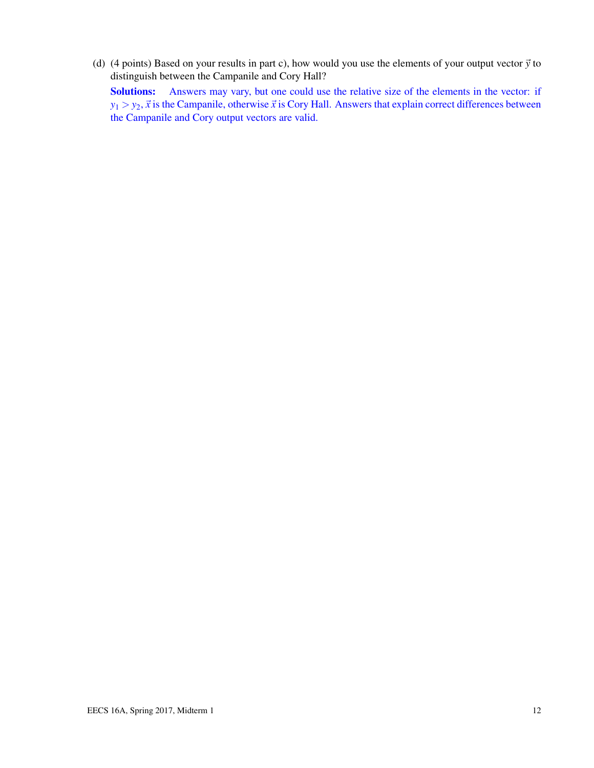(d) (4 points) Based on your results in part c), how would you use the elements of your output vector  $\vec{y}$  to distinguish between the Campanile and Cory Hall? Solutions: Answers may vary, but one could use the relative size of the elements in the vector: if  $y_1 > y_2$ ,  $\vec{x}$  is the Campanile, otherwise  $\vec{x}$  is Cory Hall. Answers that explain correct differences between the Campanile and Cory output vectors are valid.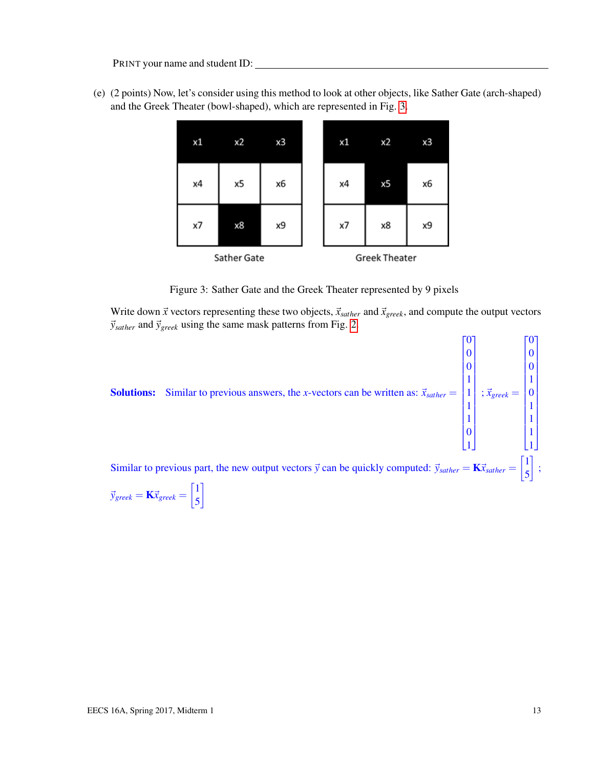(e) (2 points) Now, let's consider using this method to look at other objects, like Sather Gate (arch-shaped) and the Greek Theater (bowl-shaped), which are represented in Fig. [3.](#page-12-0)



<span id="page-12-0"></span>Figure 3: Sather Gate and the Greek Theater represented by 9 pixels

Write down  $\vec{x}$  vectors representing these two objects,  $\vec{x}_{sather}$  and  $\vec{x}_{greek}$ , and compute the output vectors  $\vec{y}_{\text{sather}}$  and  $\vec{y}_{\text{greek}}$  using the same mask patterns from Fig. [2.](#page-9-0)



$$
\vec{y}_{greek} = \mathbf{K} \vec{x}_{greek} = \begin{bmatrix} 1 \\ 5 \end{bmatrix}
$$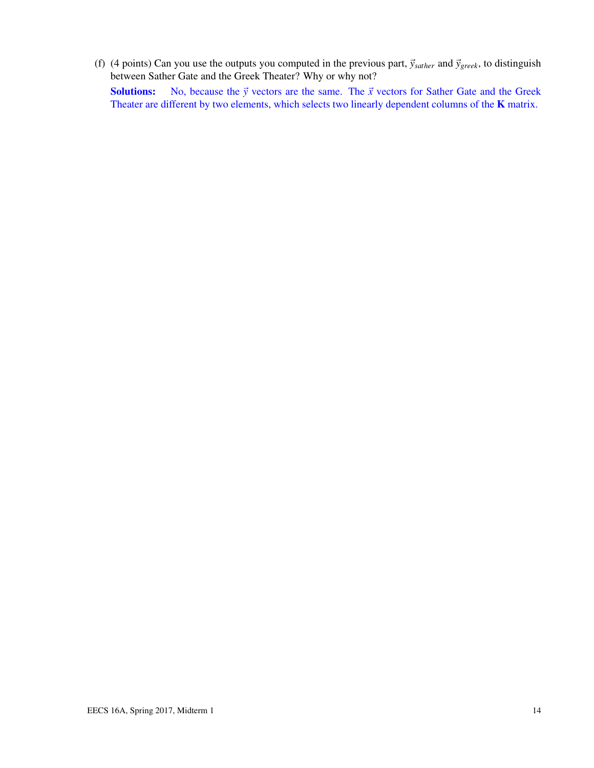(f) (4 points) Can you use the outputs you computed in the previous part,  $\vec{y}_{\text{sather}}$  and  $\vec{y}_{\text{greek}}$ , to distinguish between Sather Gate and the Greek Theater? Why or why not? **Solutions:** No, because the  $\vec{y}$  vectors are the same. The  $\vec{x}$  vectors for Sather Gate and the Greek Theater are different by two elements, which selects two linearly dependent columns of the K matrix.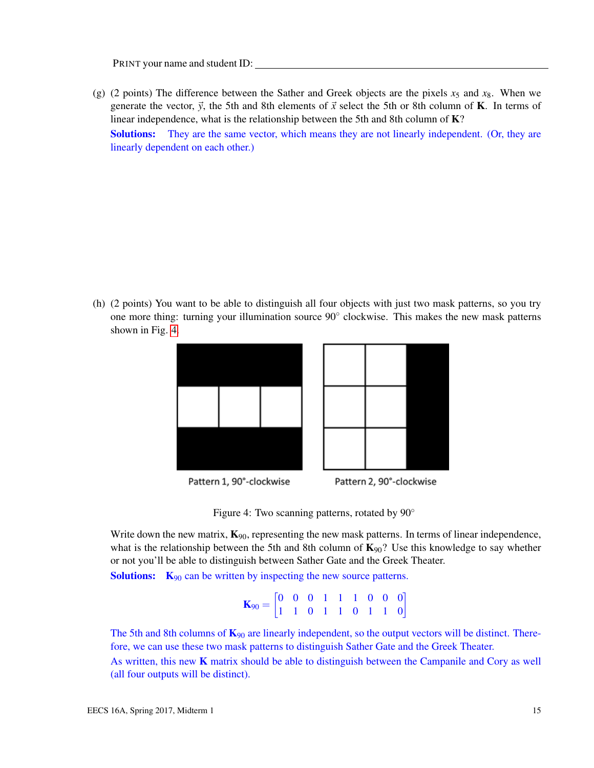(g) (2 points) The difference between the Sather and Greek objects are the pixels  $x_5$  and  $x_8$ . When we generate the vector,  $\vec{y}$ , the 5th and 8th elements of  $\vec{x}$  select the 5th or 8th column of **K**. In terms of linear independence, what is the relationship between the 5th and 8th column of K? Solutions: They are the same vector, which means they are not linearly independent. (Or, they are linearly dependent on each other.)

(h) (2 points) You want to be able to distinguish all four objects with just two mask patterns, so you try one more thing: turning your illumination source 90° clockwise. This makes the new mask patterns shown in Fig. [4.](#page-14-0)





Pattern 2, 90°-clockwise Pattern 1, 90°-clockwise

<span id="page-14-0"></span>



Write down the new matrix,  $\mathbf{K}_{90}$ , representing the new mask patterns. In terms of linear independence, what is the relationship between the 5th and 8th column of  $K_{90}$ ? Use this knowledge to say whether or not you'll be able to distinguish between Sather Gate and the Greek Theater.

**Solutions:**  $K_{90}$  can be written by inspecting the new source patterns.

 $\mathbf{K}_{90} = \begin{bmatrix} 0 & 0 & 0 & 1 & 1 & 1 & 0 & 0 & 0 \\ 1 & 1 & 0 & 1 & 1 & 0 & 1 & 1 & 0 \end{bmatrix}$ 

The 5th and 8th columns of  $\mathbf{K}_{90}$  are linearly independent, so the output vectors will be distinct. Therefore, we can use these two mask patterns to distinguish Sather Gate and the Greek Theater.

As written, this new  $K$  matrix should be able to distinguish between the Campanile and Cory as well (all four outputs will be distinct).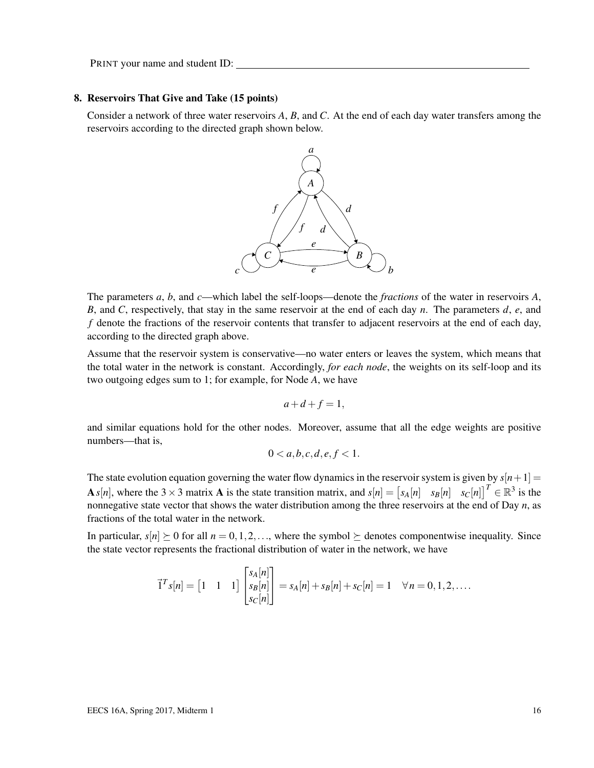#### 8. Reservoirs That Give and Take (15 points)

Consider a network of three water reservoirs *A*, *B*, and *C*. At the end of each day water transfers among the reservoirs according to the directed graph shown below.



The parameters *a*, *b*, and *c*—which label the self-loops—denote the *fractions* of the water in reservoirs *A*, *B*, and *C*, respectively, that stay in the same reservoir at the end of each day *n*. The parameters *d*, *e*, and *f* denote the fractions of the reservoir contents that transfer to adjacent reservoirs at the end of each day, according to the directed graph above.

Assume that the reservoir system is conservative—no water enters or leaves the system, which means that the total water in the network is constant. Accordingly, *for each node*, the weights on its self-loop and its two outgoing edges sum to 1; for example, for Node *A*, we have

$$
a+d+f=1,
$$

and similar equations hold for the other nodes. Moreover, assume that all the edge weights are positive numbers—that is,

$$
0 < a, b, c, d, e, f < 1.
$$

The state evolution equation governing the water flow dynamics in the reservoir system is given by  $s[n+1] =$ A *s*[*n*], where the 3 × 3 matrix A is the state transition matrix, and  $s[n] = \begin{bmatrix} s_A[n] & s_B[n] & s_C[n] \end{bmatrix}^T \in \mathbb{R}^3$  is the nonnegative state vector that shows the water distribution among the three reservoirs at the end of Day *n*, as fractions of the total water in the network.

In particular,  $s[n] \geq 0$  for all  $n = 0, 1, 2, \ldots$ , where the symbol  $\succeq$  denotes componentwise inequality. Since the state vector represents the fractional distribution of water in the network, we have

$$
\vec{1}^T s[n] = \begin{bmatrix} 1 & 1 & 1 \end{bmatrix} \begin{bmatrix} s_A[n] \\ s_B[n] \\ s_C[n] \end{bmatrix} = s_A[n] + s_B[n] + s_C[n] = 1 \quad \forall n = 0, 1, 2, ....
$$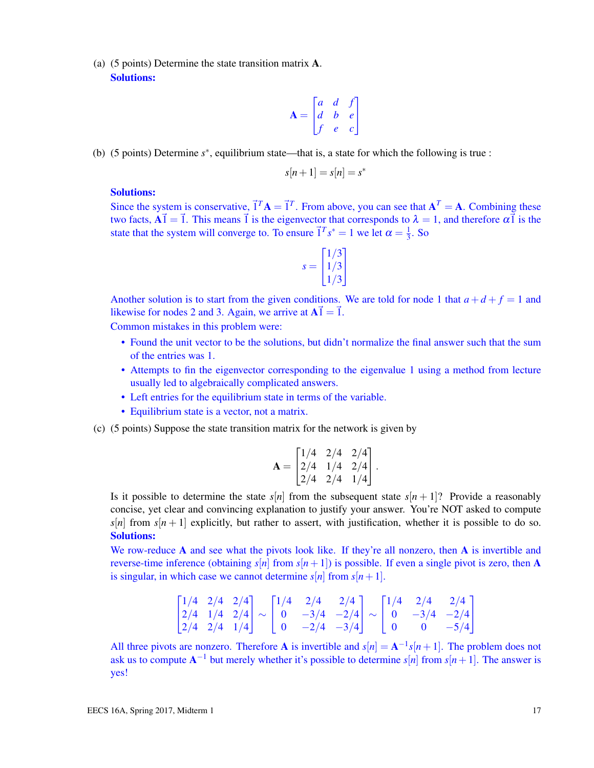(a) (5 points) Determine the state transition matrix A. Solutions:

$$
\mathbf{A} = \begin{bmatrix} a & d & f \\ d & b & e \\ f & e & c \end{bmatrix}
$$

(b) (5 points) Determine *s* ∗ , equilibrium state—that is, a state for which the following is true :

$$
s[n+1] = s[n] = s^*
$$

#### Solutions:

Since the system is conservative,  $\vec{1}^T A = \vec{1}^T$ . From above, you can see that  $A^T = A$ . Combining these two facts,  $\vec{A} = \vec{1}$ . This means  $\vec{1}$  is the eigenvector that corresponds to  $\lambda = 1$ , and therefore  $\alpha \vec{1}$  is the state that the system will converge to. To ensure  $\vec{1}^T s^* = 1$  we let  $\alpha = \frac{1}{3}$  $\frac{1}{3}$ . So

$$
s = \begin{bmatrix} 1/3 \\ 1/3 \\ 1/3 \end{bmatrix}
$$

Another solution is to start from the given conditions. We are told for node 1 that  $a+d+f=1$  and likewise for nodes 2 and 3. Again, we arrive at  $A\vec{1} = \vec{1}$ .

Common mistakes in this problem were:

- Found the unit vector to be the solutions, but didn't normalize the final answer such that the sum of the entries was 1.
- Attempts to fin the eigenvector corresponding to the eigenvalue 1 using a method from lecture usually led to algebraically complicated answers.
- Left entries for the equilibrium state in terms of the variable.
- Equilibrium state is a vector, not a matrix.
- (c) (5 points) Suppose the state transition matrix for the network is given by

$$
\mathbf{A} = \begin{bmatrix} 1/4 & 2/4 & 2/4 \\ 2/4 & 1/4 & 2/4 \\ 2/4 & 2/4 & 1/4 \end{bmatrix}.
$$

Is it possible to determine the state  $s[n]$  from the subsequent state  $s[n+1]$ ? Provide a reasonably concise, yet clear and convincing explanation to justify your answer. You're NOT asked to compute  $s[n]$  from  $s[n+1]$  explicitly, but rather to assert, with justification, whether it is possible to do so. Solutions:

We row-reduce A and see what the pivots look like. If they're all nonzero, then A is invertible and reverse-time inference (obtaining  $s[n]$  from  $s[n+1]$ ) is possible. If even a single pivot is zero, then A is singular, in which case we cannot determine  $s[n]$  from  $s[n+1]$ .

$$
\begin{bmatrix} 1/4 & 2/4 & 2/4 \\ 2/4 & 1/4 & 2/4 \\ 2/4 & 2/4 & 1/4 \end{bmatrix} \sim \begin{bmatrix} 1/4 & 2/4 & 2/4 \\ 0 & -3/4 & -2/4 \\ 0 & -2/4 & -3/4 \end{bmatrix} \sim \begin{bmatrix} 1/4 & 2/4 & 2/4 \\ 0 & -3/4 & -2/4 \\ 0 & 0 & -5/4 \end{bmatrix}
$$

All three pivots are nonzero. Therefore **A** is invertible and  $s[n] = A^{-1}s[n+1]$ . The problem does not ask us to compute  $A^{-1}$  but merely whether it's possible to determine  $s[n]$  from  $s[n+1]$ . The answer is yes!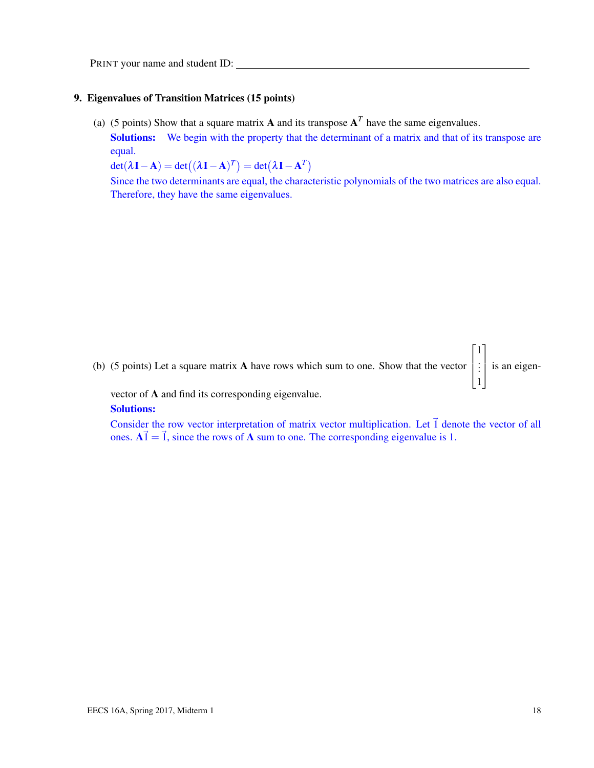#### 9. Eigenvalues of Transition Matrices (15 points)

(a) (5 points) Show that a square matrix **A** and its transpose  $A<sup>T</sup>$  have the same eigenvalues.

Solutions: We begin with the property that the determinant of a matrix and that of its transpose are equal.

 $det(\lambda \mathbf{I} - \mathbf{A}) = det((\lambda \mathbf{I} - \mathbf{A})^T) = det(\lambda \mathbf{I} - \mathbf{A}^T)$ 

Since the two determinants are equal, the characteristic polynomials of the two matrices are also equal. Therefore, they have the same eigenvalues.



vector of A and find its corresponding eigenvalue. Solutions:

Consider the row vector interpretation of matrix vector multiplication. Let  $\vec{1}$  denote the vector of all ones.  $A\vec{1} = \vec{1}$ , since the rows of A sum to one. The corresponding eigenvalue is 1.